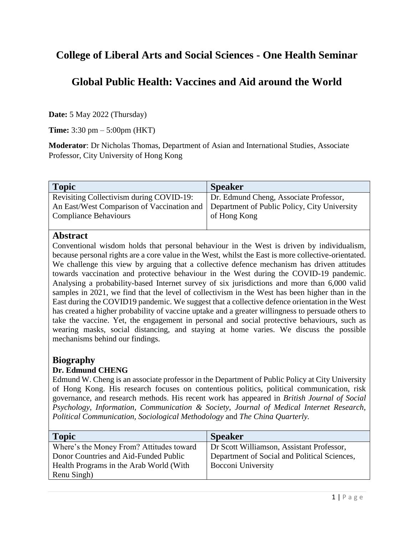# **College of Liberal Arts and Social Sciences - One Health Seminar**

## **Global Public Health: Vaccines and Aid around the World**

**Date:** 5 May 2022 (Thursday)

**Time:** 3:30 pm – 5:00pm (HKT)

**Moderator**: Dr Nicholas Thomas, Department of Asian and International Studies, Associate Professor, City University of Hong Kong

| <b>Topic</b>                               | <b>Speaker</b>                               |
|--------------------------------------------|----------------------------------------------|
| Revisiting Collectivism during COVID-19:   | Dr. Edmund Cheng, Associate Professor,       |
| An East/West Comparison of Vaccination and | Department of Public Policy, City University |
| <b>Compliance Behaviours</b>               | of Hong Kong                                 |
|                                            |                                              |

#### **Abstract**

Conventional wisdom holds that personal behaviour in the West is driven by individualism, because personal rights are a core value in the West, whilst the East is more collective-orientated. We challenge this view by arguing that a collective defence mechanism has driven attitudes towards vaccination and protective behaviour in the West during the COVID-19 pandemic. Analysing a probability-based Internet survey of six jurisdictions and more than 6,000 valid samples in 2021, we find that the level of collectivism in the West has been higher than in the East during the COVID19 pandemic. We suggest that a collective defence orientation in the West has created a higher probability of vaccine uptake and a greater willingness to persuade others to take the vaccine. Yet, the engagement in personal and social protective behaviours, such as wearing masks, social distancing, and staying at home varies. We discuss the possible mechanisms behind our findings.

#### **Biography**

#### **Dr. Edmund CHENG**

Edmund W. Cheng is an associate professor in the Department of Public Policy at City University of Hong Kong. His research focuses on contentious politics, political communication, risk governance, and research methods. His recent work has appeared in *British Journal of Social Psychology*, *Information, Communication & Society, Journal of Medical Internet Research, Political Communication, Sociological Methodology* and *The China Quarterly.*

| <b>Topic</b>                             | <b>Speaker</b>                               |
|------------------------------------------|----------------------------------------------|
| Where's the Money From? Attitudes toward | Dr Scott Williamson, Assistant Professor,    |
| Donor Countries and Aid-Funded Public    | Department of Social and Political Sciences, |
| Health Programs in the Arab World (With  | Bocconi University                           |
| Renu Singh)                              |                                              |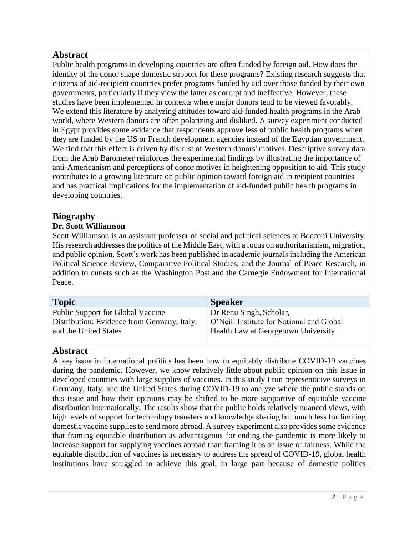### **Abstract**

Public health programs in developing countries are often funded by foreign aid. How does the identity of the donor shape domestic support for these programs? Existing research suggests that citizens of aid-recipient countries prefer programs funded by aid over those funded by their own governments, particularly if they view the latter as corrupt and ineffective. However, these studies have been implemented in contexts where major donors tend to be viewed favorably. We extend this literature by analyzing attitudes toward aid-funded health programs in the Arab world, where Western donors are often polarizing and disliked. A survey experiment conducted in Egypt provides some evidence that respondents approve less of public health programs when they are funded by the US or French development agencies instead of the Egyptian government. We find that this effect is driven by distrust of Western donors' motives. Descriptive survey data from the Arab Barometer reinforces the experimental findings by illustrating the importance of anti-Americanism and perceptions of donor motives in heightening opposition to aid. This study contributes to a growing literature on public opinion toward foreign aid in recipient countries and has practical implications for the implementation of aid-funded public health programs in developing countries.

## **Biography**

#### **Dr. Scott Williamson**

Scott Williamson is an assistant professor of social and political sciences at Bocconi University. His research addresses the politics of the Middle East, with a focus on authoritarianism, migration, and public opinion. Scott's work has been published in academic journals including the American Political Science Review, Comparative Political Studies, and the Journal of Peace Research, in addition to outlets such as the Washington Post and the Carnegie Endowment for International Peace.

| <b>Topic</b>                                | <b>Speaker</b>                            |
|---------------------------------------------|-------------------------------------------|
| <b>Public Support for Global Vaccine</b>    | Dr Renu Singh, Scholar,                   |
| Distribution: Evidence from Germany, Italy, | O'Neill Institute for National and Global |
| and the United States                       | Health Law at Georgetown University       |
|                                             |                                           |

## **Abstract**

A key issue in international politics has been how to equitably distribute COVID-19 vaccines during the pandemic. However, we know relatively little about public opinion on this issue in developed countries with large supplies of vaccines. In this study I run representative surveys in Germany, Italy, and the United States during COVID-19 to analyze where the public stands on this issue and how their opinions may be shifted to be more supportive of equitable vaccine distribution internationally. The results show that the public holds relatively nuanced views, with high levels of support for technology transfers and knowledge sharing but much less for limiting domestic vaccine supplies to send more abroad. A survey experiment also provides some evidence that framing equitable distribution as advantageous for ending the pandemic is more likely to increase support for supplying vaccines abroad than framing it as an issue of fairness. While the equitable distribution of vaccines is necessary to address the spread of COVID-19, global health institutions have struggled to achieve this goal, in large part because of domestic politics